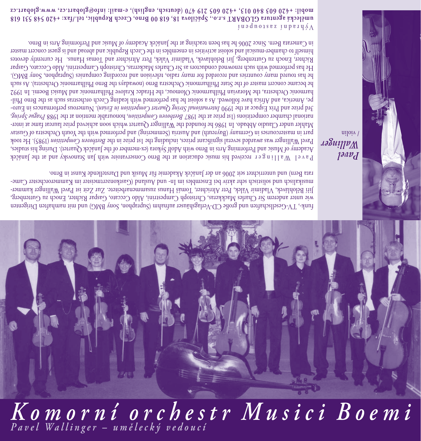## *Pavel Wallinger – umělecký vedoucí Komorní orchestr Musici Boemi*



funk-, TV-Gesellschaften und große CD-Verlagshäuser aufnahm (Supraphon, Sony BMG) und mit namhaften Dirigenten wie unter anderem Sir Charles Mackkeras, Christoph Campestrini, Aldo Ceccato, Gaspar Richter, Enoch zu Guttenberg, Jiří Bělohlávek, Vladimír Válek, Petr Altrichter, Tomáš Hanus zusammenarbeitete. Zur Zeit ist Pavel Wallinger kammermusikalisch und solistisch sehr aktiv bei Ensembles im In- und Ausland (Gastkonzertmeister im Kammerorchester Camerata Bern) und unterrichtet seit 2006 an der Janáček Akademie für Musik und Darstellende Kunst in Brno.

 received his music education at the Brno Conservatoire with Jan Stanovsky and at the Janáček **Pavel Wallinger** Academy of Music and Performing Arts in Brno with Adolf Sykora (ex-member of the Janáček Quartet). During his studies, Pavel Vallinger was awarded several aignificant prizes, including the 1st prize in the *Beethorof moniperingio* Mecok part in mastercourses in Germany (Bayreuth) and Austria (Semmering) and performed with the Youth Orchestra of Gustav Mahler under Claudio Abbado. In 1986 he founded the Wallinger Quartet which soon achieved prize laureat fame at inter- , *Prague Spring* , honourable mention at the 1988 *Beethoven Competition* national chamber competitions (1st prize at the 1987 ). Numerous performances in Euro- *International String Quartet Competition in Evian* 3rd prize and Prix Espace at the 1990 pe, America, and Africa have followed. As a soloist he has performed with leading Czech orchestras such as the Brno Philharmonic Orchestra, the Moravian Philharmonic Olomouc, the Hradec Kralove Philharmonic and Musici Boemi. In 1992 he became concert master of the State Philharmonic Orchestra Brno (nowadays the Brno Philharmonic Orchestra). As such he has toured many countries and recorded for many radio, television and recording companies (Supraphon, Sony BMG). He has performed with such renowned conductors as Sir Charles Mackerras, Christoph Campestrini, Aldo Ceccato, Gaspar Richter, Enoch zu Guttenberg, Jiri Belohlavek, Vladimir Valek, Petr Altrichter and Tomas Hanus. He currently devotes himself to chamber-musical and soloist activities in ensembles in the Czech Republic and abroad and is guest concert master in Camerata Bern. Since 2006 he has been teaching at the Janáček Academy of Music and Performing Arts in Brno.

 $\mu$ u ad no asez ju pe a y  $\Lambda$ 

**umělecká agentura GLOBART s.r.o., Spáčilova 18, 618 00 Brno, Czech Republic, tel./fax: +420 548 531 618 mobil: +420 603 840 013, +420 605 219 470 (deutsch, english), e-mail: info@globart.cz, www.globart.cz**

> *Pavel Wallinger*  / violin